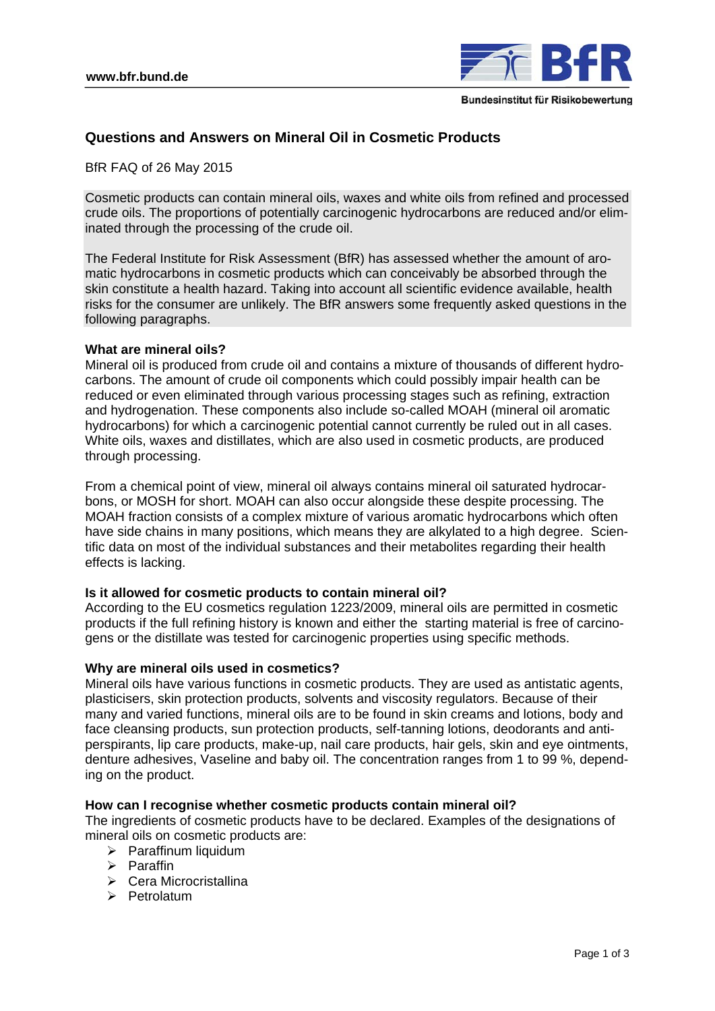

# **Questions and Answers on Mineral Oil in Cosmetic Products**

BfR FAQ of 26 May 2015

Cosmetic products can contain mineral oils, waxes and white oils from refined and processed crude oils. The proportions of potentially carcinogenic hydrocarbons are reduced and/or eliminated through the processing of the crude oil.

The Federal Institute for Risk Assessment (BfR) has assessed whether the amount of aromatic hydrocarbons in cosmetic products which can conceivably be absorbed through the skin constitute a health hazard. Taking into account all scientific evidence available, health risks for the consumer are unlikely. The BfR answers some frequently asked questions in the following paragraphs.

## **What are mineral oils?**

Mineral oil is produced from crude oil and contains a mixture of thousands of different hydrocarbons. The amount of crude oil components which could possibly impair health can be reduced or even eliminated through various processing stages such as refining, extraction and hydrogenation. These components also include so-called MOAH (mineral oil aromatic hydrocarbons) for which a carcinogenic potential cannot currently be ruled out in all cases. White oils, waxes and distillates, which are also used in cosmetic products, are produced through processing.

From a chemical point of view, mineral oil always contains mineral oil saturated hydrocarbons, or MOSH for short. MOAH can also occur alongside these despite processing. The MOAH fraction consists of a complex mixture of various aromatic hydrocarbons which often have side chains in many positions, which means they are alkylated to a high degree. Scientific data on most of the individual substances and their metabolites regarding their health effects is lacking.

## **Is it allowed for cosmetic products to contain mineral oil?**

According to the EU cosmetics regulation 1223/2009, mineral oils are permitted in cosmetic products if the full refining history is known and either the starting material is free of carcinogens or the distillate was tested for carcinogenic properties using specific methods.

## **Why are mineral oils used in cosmetics?**

Mineral oils have various functions in cosmetic products. They are used as antistatic agents, plasticisers, skin protection products, solvents and viscosity regulators. Because of their many and varied functions, mineral oils are to be found in skin creams and lotions, body and face cleansing products, sun protection products, self-tanning lotions, deodorants and antiperspirants, lip care products, make-up, nail care products, hair gels, skin and eye ointments, denture adhesives, Vaseline and baby oil. The concentration ranges from 1 to 99 %, depending on the product.

### **How can I recognise whether cosmetic products contain mineral oil?**

The ingredients of cosmetic products have to be declared. Examples of the designations of mineral oils on cosmetic products are:

- $\triangleright$  Paraffinum liquidum
- $\triangleright$  Paraffin
- Cera Microcristallina
- $\triangleright$  Petrolatum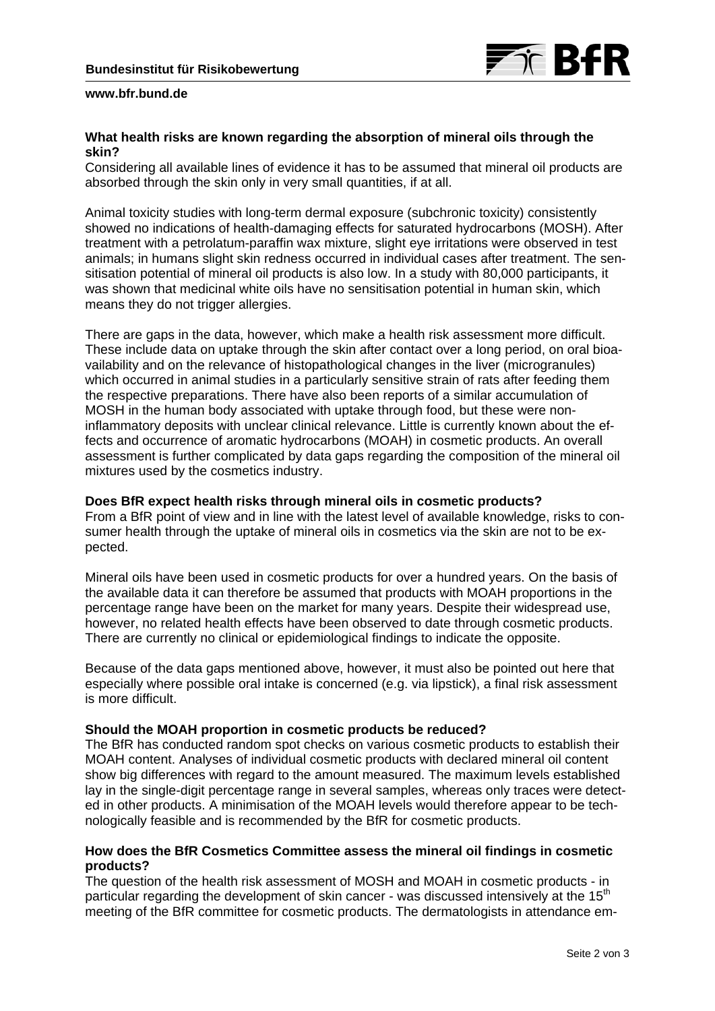

### **www.bfr.bund.de**

## **What health risks are known regarding the absorption of mineral oils through the skin?**

Considering all available lines of evidence it has to be assumed that mineral oil products are absorbed through the skin only in very small quantities, if at all.

Animal toxicity studies with long-term dermal exposure (subchronic toxicity) consistently showed no indications of health-damaging effects for saturated hydrocarbons (MOSH). After treatment with a petrolatum-paraffin wax mixture, slight eye irritations were observed in test animals; in humans slight skin redness occurred in individual cases after treatment. The sensitisation potential of mineral oil products is also low. In a study with 80,000 participants, it was shown that medicinal white oils have no sensitisation potential in human skin, which means they do not trigger allergies.

There are gaps in the data, however, which make a health risk assessment more difficult. These include data on uptake through the skin after contact over a long period, on oral bioavailability and on the relevance of histopathological changes in the liver (microgranules) which occurred in animal studies in a particularly sensitive strain of rats after feeding them the respective preparations. There have also been reports of a similar accumulation of MOSH in the human body associated with uptake through food, but these were noninflammatory deposits with unclear clinical relevance. Little is currently known about the effects and occurrence of aromatic hydrocarbons (MOAH) in cosmetic products. An overall assessment is further complicated by data gaps regarding the composition of the mineral oil mixtures used by the cosmetics industry.

## **Does BfR expect health risks through mineral oils in cosmetic products?**

From a BfR point of view and in line with the latest level of available knowledge, risks to consumer health through the uptake of mineral oils in cosmetics via the skin are not to be expected.

Mineral oils have been used in cosmetic products for over a hundred years. On the basis of the available data it can therefore be assumed that products with MOAH proportions in the percentage range have been on the market for many years. Despite their widespread use, however, no related health effects have been observed to date through cosmetic products. There are currently no clinical or epidemiological findings to indicate the opposite.

Because of the data gaps mentioned above, however, it must also be pointed out here that especially where possible oral intake is concerned (e.g. via lipstick), a final risk assessment is more difficult.

### **Should the MOAH proportion in cosmetic products be reduced?**

The BfR has conducted random spot checks on various cosmetic products to establish their MOAH content. Analyses of individual cosmetic products with declared mineral oil content show big differences with regard to the amount measured. The maximum levels established lay in the single-digit percentage range in several samples, whereas only traces were detected in other products. A minimisation of the MOAH levels would therefore appear to be technologically feasible and is recommended by the BfR for cosmetic products.

## **How does the BfR Cosmetics Committee assess the mineral oil findings in cosmetic products?**

The question of the health risk assessment of MOSH and MOAH in cosmetic products - in particular regarding the development of skin cancer - was discussed intensively at the 15<sup>th</sup> meeting of the BfR committee for cosmetic products. The dermatologists in attendance em-